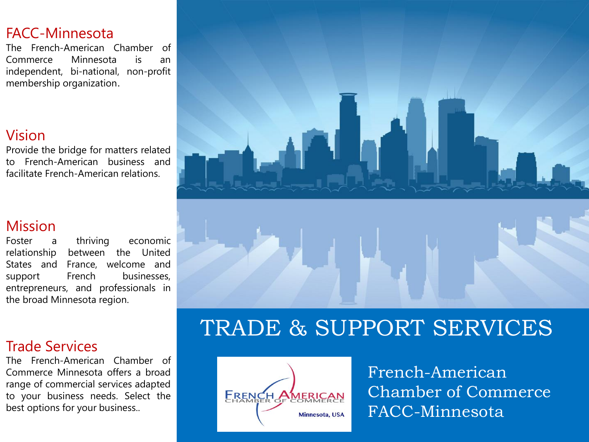#### FACC-Minnesota

The French-American Chamber of Commerce Minnesota is an independent, bi-national, non-profit membership organization.

#### Vision

Provide the bridge for matters related to French-American business and facilitate French-American relations.

#### Mission

Foster a thriving economic relationship between the United States and France, welcome and support French businesses, entrepreneurs, and professionals in the broad Minnesota region.

#### Trade Services

The French-American Chamber of Commerce Minnesota offers a broad range of commercial services adapted to your business needs. Select the best options for your business..



## TRADE & SUPPORT SERVICES



French-American Chamber of Commerce FACC-Minnesota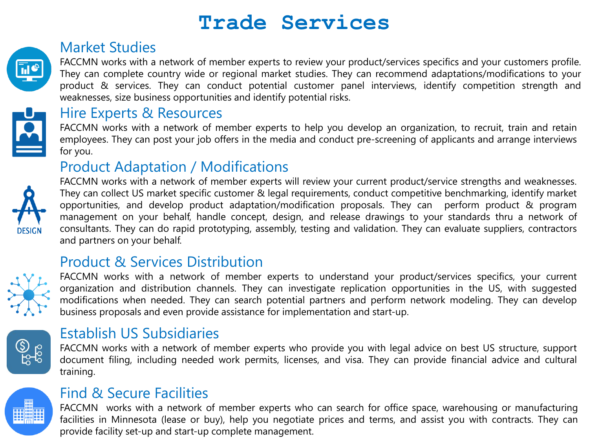### **Trade Services**

#### Market Studies

FACCMN works with a network of member experts to review your product/services specifics and your customers profile. They can complete country wide or regional market studies. They can recommend adaptations/modifications to your product & services. They can conduct potential customer panel interviews, identify competition strength and weaknesses, size business opportunities and identify potential risks.



#### Hire Experts & Resources

FACCMN works with a network of member experts to help you develop an organization, to recruit, train and retain employees. They can post your job offers in the media and conduct pre-screening of applicants and arrange interviews for you.

#### Product Adaptation / Modifications



FACCMN works with a network of member experts will review your current product/service strengths and weaknesses. They can collect US market specific customer & legal requirements, conduct competitive benchmarking, identify market opportunities, and develop product adaptation/modification proposals. They can perform product & program management on your behalf, handle concept, design, and release drawings to your standards thru a network of consultants. They can do rapid prototyping, assembly, testing and validation. They can evaluate suppliers, contractors and partners on your behalf.

#### Product & Services Distribution



FACCMN works with a network of member experts to understand your product/services specifics, your current organization and distribution channels. They can investigate replication opportunities in the US, with suggested modifications when needed. They can search potential partners and perform network modeling. They can develop business proposals and even provide assistance for implementation and start-up.



#### Establish US Subsidiaries

FACCMN works with a network of member experts who provide you with legal advice on best US structure, support document filing, including needed work permits, licenses, and visa. They can provide financial advice and cultural training.



#### Find & Secure Facilities

FACCMN works with a network of member experts who can search for office space, warehousing or manufacturing facilities in Minnesota (lease or buy), help you negotiate prices and terms, and assist you with contracts. They can provide facility set-up and start-up complete management.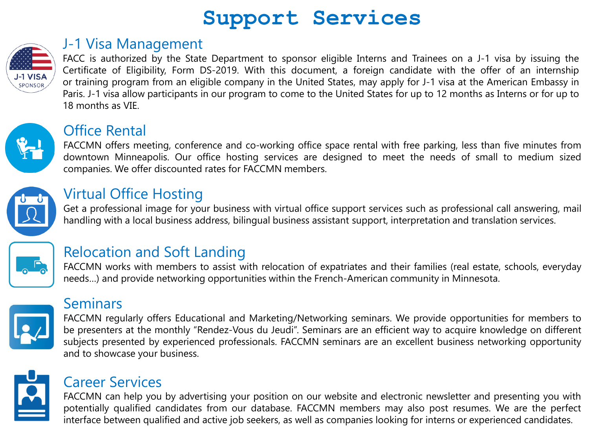## **Support Services**



#### J-1 Visa Management

FACC is authorized by the State Department to sponsor eligible Interns and Trainees on a J-1 visa by issuing the Certificate of Eligibility, Form DS-2019. With this document, a foreign candidate with the offer of an internship or training program from an eligible company in the United States, may apply for J-1 visa at the American Embassy in Paris. J-1 visa allow participants in our program to come to the United States for up to 12 months as Interns or for up to 18 months as VIE.



#### Office Rental

FACCMN offers meeting, conference and co-working office space rental with free parking, less than five minutes from downtown Minneapolis. Our office hosting services are designed to meet the needs of small to medium sized companies. We offer discounted rates for FACCMN members.



#### Virtual Office Hosting

Get a professional image for your business with virtual office support services such as professional call answering, mail handling with a local business address, bilingual business assistant support, interpretation and translation services.



#### Relocation and Soft Landing

FACCMN works with members to assist with relocation of expatriates and their families (real estate, schools, everyday needs…) and provide networking opportunities within the French-American community in Minnesota.



#### **Seminars**

FACCMN regularly offers Educational and Marketing/Networking seminars. We provide opportunities for members to be presenters at the monthly "Rendez-Vous du Jeudi". Seminars are an efficient way to acquire knowledge on different subjects presented by experienced professionals. FACCMN seminars are an excellent business networking opportunity and to showcase your business.



#### Career Services

FACCMN can help you by advertising your position on our website and electronic newsletter and presenting you with potentially qualified candidates from our database. FACCMN members may also post resumes. We are the perfect interface between qualified and active job seekers, as well as companies looking for interns or experienced candidates.